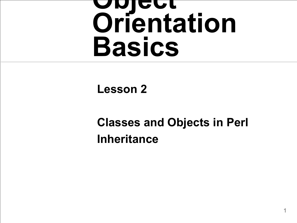# **Object Orientation Basics**

#### **Lesson 2**

#### **Classes and Objects in Perl Inheritance**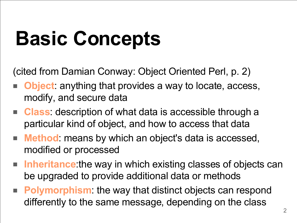# **Basic Concepts**

(cited from Damian Conway: Object Oriented Perl, p. 2)

- **Object**: anything that provides a way to locate, access, modify, and secure data
- **Class**: description of what data is accessible through a particular kind of object, and how to access that data
- **Method** means by which an object's data is accessed, modified or processed
- **Inheritance**: the way in which existing classes of objects can be upgraded to provide additional data or methods
- **Polymorphism**: the way that distinct objects can respond differently to the same message, depending on the class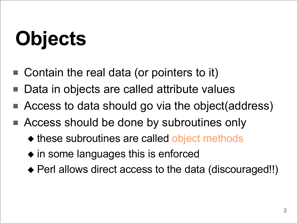# **Objects**

- Contain the real data (or pointers to it)
- Data in objects are called attribute values
- Access to data should go via the object(address)
- Access should be done by subroutines only
	- ◆ these subroutines are called object methods
	- ◆ in some languages this is enforced
	- ◆ Perl allows direct access to the data (discouraged!!)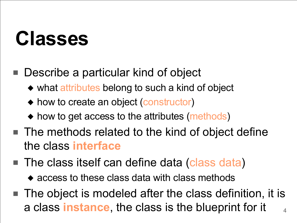#### **Classes**

- Describe a particular kind of object
	- ◆ what attributes belong to such a kind of object
	- ◆ how to create an object (constructor)
	- ◆ how to get access to the attributes (methods)
- The methods related to the kind of object define the class **interface**
- The class itself can define data (class data)
	- ◆ access to these class data with class methods
- 4 ■ The object is modeled after the class definition, it is a class **instance**, the class is the blueprint for it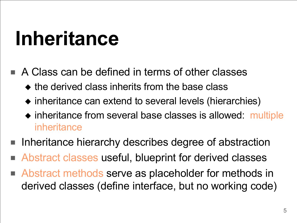#### **Inheritance**

- A Class can be defined in terms of other classes
	- $\bullet$  the derived class inherits from the base class
	- ◆ inheritance can extend to several levels (hierarchies)
	- ◆ inheritance from several base classes is allowed: multiple inheritance
- Inheritance hierarchy describes degree of abstraction
- Abstract classes useful, blueprint for derived classes
- Abstract methods serve as placeholder for methods in derived classes (define interface, but no working code)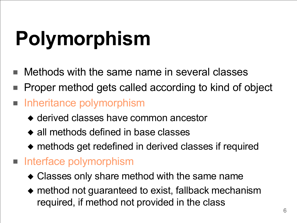# **Polymorphism**

- Methods with the same name in several classes
- Proper method gets called according to kind of object
- Inheritance polymorphism
	- ◆ derived classes have common ancestor
	- ◆ all methods defined in base classes
	- ◆ methods get redefined in derived classes if required
- Interface polymorphism
	- ◆ Classes only share method with the same name
	- ◆ method not guaranteed to exist, fallback mechanism required, if method not provided in the class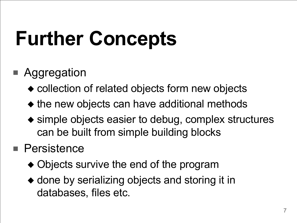## **Further Concepts**

#### **Aggregation**

- ◆ collection of related objects form new objects
- ◆ the new objects can have additional methods
- ◆ simple objects easier to debug, complex structures can be built from simple building blocks

#### ■ Persistence

- ◆ Objects survive the end of the program
- ◆ done by serializing objects and storing it in databases, files etc.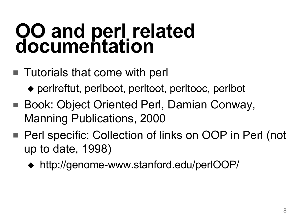#### **OO and perl related documentation**

- Tutorials that come with perl
	- ◆ perlreftut, perlboot, perltoot, perltooc, perlbot
- Book: Object Oriented Perl, Damian Conway, Manning Publications, 2000
- Perl specific: Collection of links on OOP in Perl (not up to date, 1998)
	- ◆ http://genome-www.stanford.edu/perlOOP/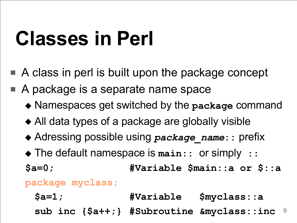### **Classes in Perl**

- A class in perl is built upon the package concept
- A package is a separate name space
	- ◆ Namespaces get switched by the **package** command
	- ◆ All data types of a package are globally visible
	- ◆ Adressing possible using *package\_name***::** prefix
	- ◆ The default namespace is **main::** or simply **::**

**\$a=0; #Variable \$main::a or \$::a**

#### **package myclass;**

9 **\$a=1; #Variable \$myclass::a sub inc {\$a++;} #Subroutine &myclass::inc**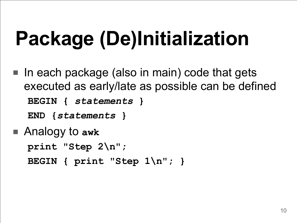# **Package (De)Initialization**

- In each package (also in main) code that gets executed as early/late as possible can be defined **BEGIN {** *statements* **}**
	- **END {***statements* **}**
- Analogy to awk **print "Step 2\n"; BEGIN { print "Step 1\n"; }**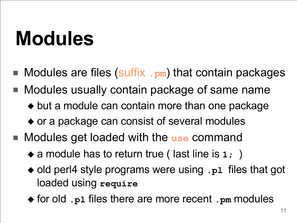#### **Modules**

- Modules are files (suffix .pm) that contain packages
- Modules usually contain package of same name ◆ but a module can contain more than one package ◆ or a package can consist of several modules
- Modules get loaded with the use command
	- ◆ a module has to return true ( last line is 1; )
	- ◆ old perl4 style programs were using .p1 files that got loaded using **require**
	- ◆ for old **.pl** files there are more recent **.pm** modules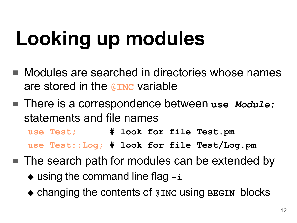# **Looking up modules**

- Modules are searched in directories whose names are stored in the **@INC** variable
- There is a correspondence between use *Module*; statements and file names

**use Test; # look for file Test.pm**

- **use Test::Log; # look for file Test/Log.pm**
- The search path for modules can be extended by ◆ using the command line flag **-i**
	- ◆ changing the contents of **@INC** using **BEGIN** blocks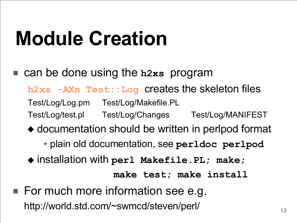### **Module Creation**

■ can be done using the **h2xs** program

**h2xs -AXn Test::Log** creates the skeleton files

Test/Log/Log.pm Test/Log/Makefile.PL

- Test/Log/test.pl Test/Log/Changes Test/Log/MANIFEST
- ◆ documentation should be written in perlpod format
	- ✦ plain old documentation, see **perldoc perlpod**
- ◆ installation with **perl Makefile.PL; make;**

**make test; make install**

■ For much more information see e.g. http://world.std.com/~swmcd/steven/perl/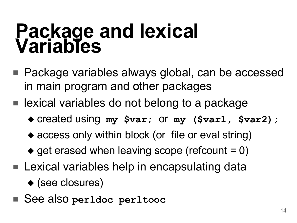#### **Package and lexical Variables**

- Package variables always global, can be accessed in main program and other packages
- lexical variables do not belong to a package
	- ◆ created using **my \$var;** or **my (\$var1, \$var2);**
	- ◆ access only within block (or file or eval string)
	- $\bullet$  get erased when leaving scope (refcount = 0)
- Lexical variables help in encapsulating data ◆ (see closures)
- See also **perldoc perltooc**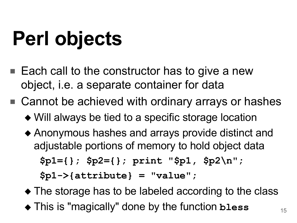# **Perl objects**

- Each call to the constructor has to give a new object, i.e. a separate container for data
- Cannot be achieved with ordinary arrays or hashes
	- ◆ Will always be tied to a specific storage location
	- ◆ Anonymous hashes and arrays provide distinct and adjustable portions of memory to hold object data

**\$p1={}; \$p2={}; print "\$p1, \$p2\n";**

**\$p1->{attribute} = "value";**

- ◆ The storage has to be labeled according to the class
- ◆ This is "magically" done by the function **bless**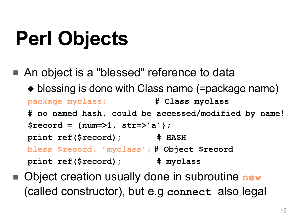## **Perl Objects**

- An object is a "blessed" reference to data ◆ blessing is done with Class name (=package name) **package myclass; # Class myclass # no named hash, could be accessed/modified by name! \$record = {num=>1, str=>'a'}; print ref(\$record); # HASH bless \$record, 'myclass'; # Object \$record print ref(\$record); # myclass**
- Object creation usually done in subroutine **new** (called constructor), but e.g **connect** also legal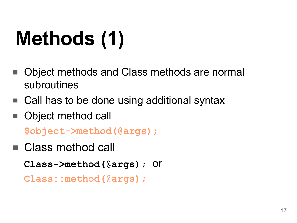# **Methods (1)**

- Object methods and Class methods are normal subroutines
- Call has to be done using additional syntax
- Object method call

**\$object->method(@args);**

■ Class method call

**Class->method(@args);** or

**Class::method(@args);**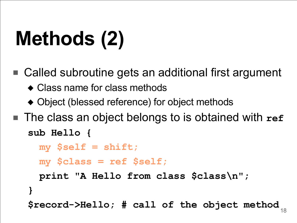# **Methods (2)**

- Called subroutine gets an additional first argument ◆ Class name for class methods
	- ◆ Object (blessed reference) for object methods
- The class an object belongs to is obtained with ref **sub Hello {**

```
my $self = shift;
```
**}**

```
my $class = ref $self;
```

```
print "A Hello from class $class\n";
```

```
$record->Hello; # call of the object method
```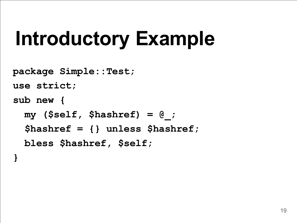### **Introductory Example**

**package Simple::Test;**

**use strict;**

**sub new {**

**my (\$self, \$hashref) = @\_; \$hashref = {} unless \$hashref; bless \$hashref, \$self;**

**}**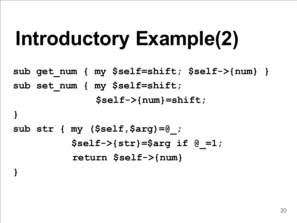## **Introductory Example(2)**

**sub get\_num { my \$self=shift; \$self->{num} } sub set\_num { my \$self=shift; \$self->{num}=shift; }**

```
sub str { my ($self,$arg)=@_;
          $self->{str}=$arg if @_=1;
          return $self->{num}
```
**}**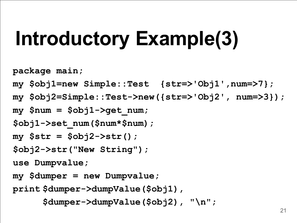## **Introductory Example(3)**

**package main;**

- **my \$obj1=new Simple::Test {str=>'Obj1',num=>7};**
- **my \$obj2=Simple::Test->new({str=>'Obj2', num=>3});**
- **my \$num = \$obj1->get\_num;**
- **\$obj1->set\_num(\$num\*\$num);**
- **my \$str = \$obj2->str();**
- **\$obj2->str("New String");**

**use Dumpvalue;**

**my \$dumper = new Dumpvalue;**

```
print $dumper->dumpValue($obj1),
```
**\$dumper->dumpValue(\$obj2), "\n";**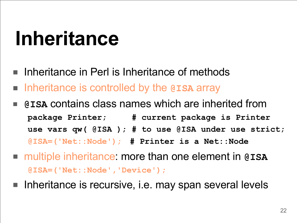#### **Inheritance**

- Inheritance in Perl is Inheritance of methods
- Inheritance is controlled by the @ISA array
- **@ISA** contains class names which are inherited from **package Printer; # current package is Printer use vars qw( @ISA ); # to use @ISA under use strict; @ISA=('Net::Node'); # Printer is a Net::Node**
- multiple inheritance: more than one element in @ISA **@ISA=('Net::Node','Device');**
- Inheritance is recursive, i.e. may span several levels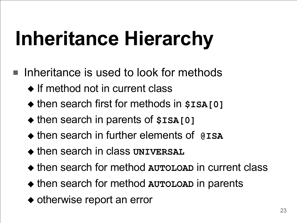## **Inheritance Hierarchy**

- Inheritance is used to look for methods
	- ◆ If method not in current class
	- ◆ then search first for methods in **\$ISA[0]**
	- ◆ then search in parents of **\$ISA[0]**
	- ◆ then search in further elements of **@ISA**
	- ◆ then search in class **UNIVERSAL**
	- ◆ then search for method **AUTOLOAD** in current class
	- ◆ then search for method **AUTOLOAD** in parents
	- ◆ otherwise report an error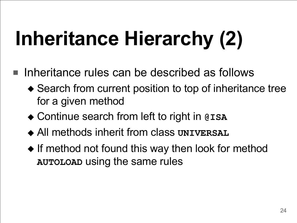# **Inheritance Hierarchy (2)**

- Inheritance rules can be described as follows
	- ◆ Search from current position to top of inheritance tree for a given method
	- ◆ Continue search from left to right in @ISA
	- ◆ All methods inherit from class **UNIVERSAL**
	- ◆ If method not found this way then look for method **AUTOLOAD** using the same rules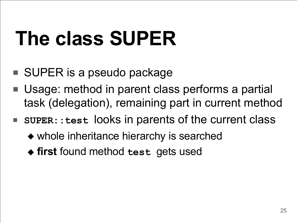### **The class SUPER**

- SUPER is a pseudo package
- Usage: method in parent class performs a partial task (delegation), remaining part in current method
- **SUPER::test** looks in parents of the current class
	- ◆ whole inheritance hierarchy is searched
	- ◆ **first** found method **test** gets used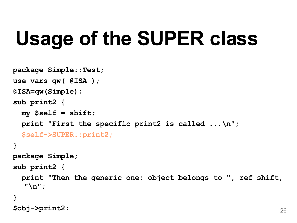### **Usage of the SUPER class**

```
package Simple::Test;
use vars qw( @ISA );
@ISA=qw(Simple);
sub print2 {
 my $self = shift;
 print "First the specific print2 is called ...\n";
  $self->SUPER::print2;
}
package Simple;
sub print2 {
  print "Then the generic one: object belongs to "
, ref shift,
  "\n";
}
$obj->print2;
```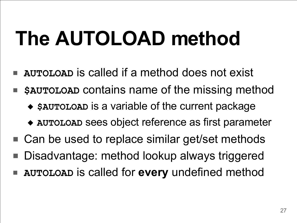## **The AUTOLOAD method**

- AUTOLOAD is called if a method does not exist
- **\$AUTOLOAD** contains name of the missing method
	- ◆ **\$AUTOLOAD** is a variable of the current package
	- ◆ **AUTOLOAD** sees object reference as first parameter
- Can be used to replace similar get/set methods
- Disadvantage: method lookup always triggered
- **AUTOLOAD** is called for **every** undefined method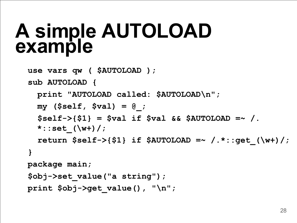#### **A simple AUTOLOAD example**

```
use vars qw ( $AUTOLOAD );
```

```
sub AUTOLOAD {
```

```
 print "AUTOLOAD called: $AUTOLOAD\n";
  my ($self, $val) = @_;
   $self->{$1} = $val if $val && $AUTOLOAD =~ /.
  *::set_(\w+)/;
   return $self->{$1} if $AUTOLOAD =~ /.*::get_(\w+)/;
}
package main;
```

```
$obj->set_value("a string");
```

```
print $obj->get_value(), "\n";
```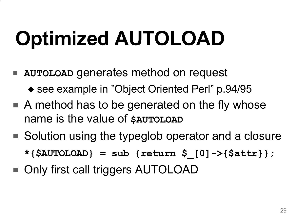# **Optimized AUTOLOAD**

- **AUTOLOAD** generates method on request
	- ◆ see example in "Object Oriented Perl" p.94/95
- $\blacksquare$  A method has to be generated on the fly whose name is the value of **\$AUTOLOAD**
- Solution using the typeglob operator and a closure **\*{\$AUTOLOAD} = sub {return \$\_[0]->{\$attr}};**
- Only first call triggers AUTOLOAD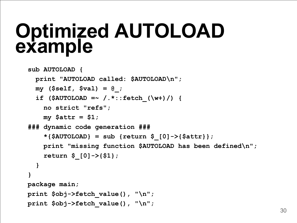#### **Optimized AUTOLOAD example**

```
sub AUTOLOAD {
  print "AUTOLOAD called: $AUTOLOAD\n";
  my ($self, $val) = @_;
  if ($AUTOLOAD =~ /.*::fetch_(\w+)/) {
    no strict "refs";
    my $attr = $1;
### dynamic code generation ###
    *{$AUTOLOAD} = sub {return $_[0]->{$attr}};
    print "missing function $AUTOLOAD has been defined\n";
    return $_[0]->{$1};
  }
}
package main;
print $obj->fetch_value(), "\n";
print $obj->fetch_value(), "\n";
```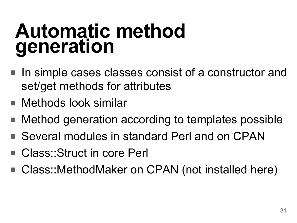#### **Automatic method generation**

- In simple cases classes consist of a constructor and set/get methods for attributes
- Methods look similar
- Method generation according to templates possible
- Several modules in standard Perl and on CPAN
- Class::Struct in core Perl
- Class::MethodMaker on CPAN (not installed here)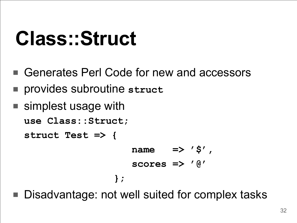#### **Class::Struct**

- Generates Perl Code for new and accessors
- provides subroutine **struct**
- simplest usage with

```
use Class::Struct;
```
**struct Test => {**

```
name => '$'
,
   scores => '@'
};
```
Disadvantage: not well suited for complex tasks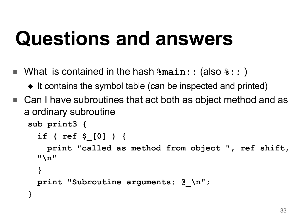#### **Questions and answers**

- What is contained in the hash **%main::** (also **%::** )
	- ◆ It contains the symbol table (can be inspected and printed)
- Can I have subroutines that act both as object method and as a ordinary subroutine

```
sub print3 {
   if ( ref $_[0] ) {
     print "called as method from object ", ref shift, 
  "\n"
 }
  print "Subroutine arguments: @_\n";
}
```